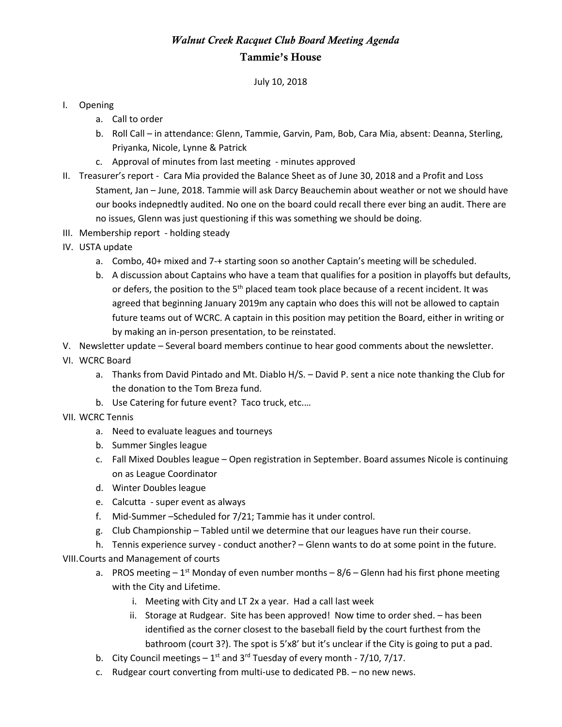## *Walnut Creek Racquet Club Board Meeting Agenda* Tammie's House

July 10, 2018

## I. Opening

- a. Call to order
- b. Roll Call in attendance: Glenn, Tammie, Garvin, Pam, Bob, Cara Mia, absent: Deanna, Sterling, Priyanka, Nicole, Lynne & Patrick
- c. Approval of minutes from last meeting minutes approved
- II. Treasurer's report Cara Mia provided the Balance Sheet as of June 30, 2018 and a Profit and Loss Stament, Jan – June, 2018. Tammie will ask Darcy Beauchemin about weather or not we should have our books indepnedtly audited. No one on the board could recall there ever bing an audit. There are no issues, Glenn was just questioning if this was something we should be doing.
- III. Membership report holding steady
- IV. USTA update
	- a. Combo, 40+ mixed and 7-+ starting soon so another Captain's meeting will be scheduled.
	- b. A discussion about Captains who have a team that qualifies for a position in playoffs but defaults, or defers, the position to the 5<sup>th</sup> placed team took place because of a recent incident. It was agreed that beginning January 2019m any captain who does this will not be allowed to captain future teams out of WCRC. A captain in this position may petition the Board, either in writing or by making an in-person presentation, to be reinstated.
- V. Newsletter update Several board members continue to hear good comments about the newsletter.
- VI. WCRC Board
	- a. Thanks from David Pintado and Mt. Diablo H/S. David P. sent a nice note thanking the Club for the donation to the Tom Breza fund.
	- b. Use Catering for future event? Taco truck, etc.…
- VII. WCRC Tennis
	- a. Need to evaluate leagues and tourneys
	- b. Summer Singles league
	- c. Fall Mixed Doubles league Open registration in September. Board assumes Nicole is continuing on as League Coordinator
	- d. Winter Doubles league
	- e. Calcutta super event as always
	- f. Mid-Summer –Scheduled for 7/21; Tammie has it under control.
	- g. Club Championship Tabled until we determine that our leagues have run their course.
	- h. Tennis experience survey conduct another? Glenn wants to do at some point in the future.

VIII.Courts and Management of courts

- a. PROS meeting  $-1^{st}$  Monday of even number months  $-8/6$  Glenn had his first phone meeting with the City and Lifetime.
	- i. Meeting with City and LT 2x a year. Had a call last week
	- ii. Storage at Rudgear. Site has been approved! Now time to order shed. has been identified as the corner closest to the baseball field by the court furthest from the bathroom (court 3?). The spot is 5'x8' but it's unclear if the City is going to put a pad.
- b. City Council meetings  $-1^{st}$  and 3<sup>rd</sup> Tuesday of every month 7/10, 7/17.
- c. Rudgear court converting from multi-use to dedicated PB. no new news.